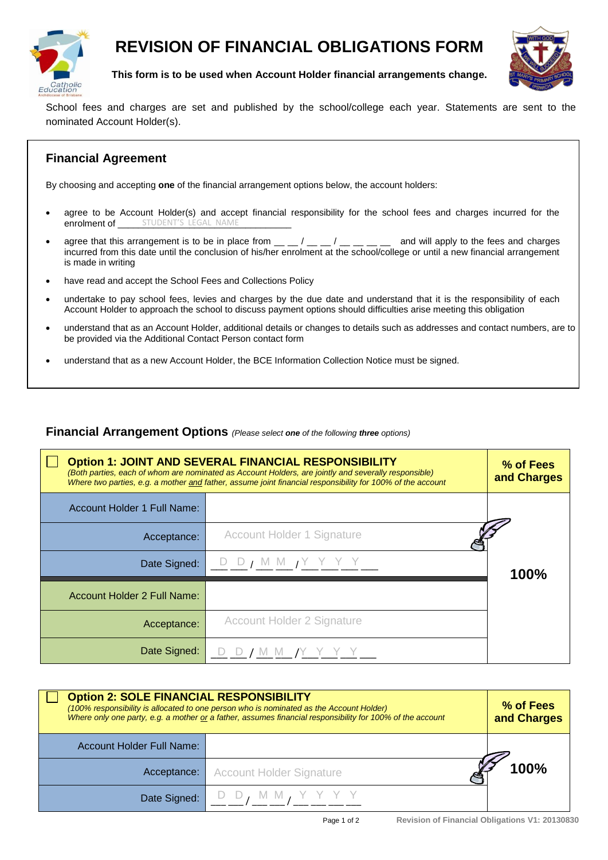

## **REVISION OF FINANCIAL OBLIGATIONS FORM**



**This form is to be used when Account Holder financial arrangements change.**

School fees and charges are set and published by the school/college each year. Statements are sent to the nominated Account Holder(s).

## **Financial Agreement**

By choosing and accepting **one** of the financial arrangement options below, the account holders:

- agree to be Account Holder(s) and accept financial responsibility for the school fees and charges incurred for the enrolment of \_\_\_\_\_\_\_ STUDENT'S LEGAL NAME
- agree that this arrangement is to be in place from  $\mu = \mu / \mu = \mu / \mu = \mu$  and will apply to the fees and charges incurred from this date until the conclusion of his/her enrolment at the school/college or until a new financial arrangement is made in writing
- have read and accept the School Fees and Collections Policy
- undertake to pay school fees, levies and charges by the due date and understand that it is the responsibility of each Account Holder to approach the school to discuss payment options should difficulties arise meeting this obligation
- understand that as an Account Holder, additional details or changes to details such as addresses and contact numbers, are to be provided via the Additional Contact Person contact form
- understand that as a new Account Holder, the BCE Information Collection Notice must be signed.

## **Financial Arrangement Options** *(Please select one of the following three options)*

| <b>Option 1: JOINT AND SEVERAL FINANCIAL RESPONSIBILITY</b><br>(Both parties, each of whom are nominated as Account Holders, are jointly and severally responsible)<br>Where two parties, e.g. a mother and father, assume joint financial responsibility for 100% of the account |                                         | % of Fees<br>and Charges |
|-----------------------------------------------------------------------------------------------------------------------------------------------------------------------------------------------------------------------------------------------------------------------------------|-----------------------------------------|--------------------------|
| Account Holder 1 Full Name:                                                                                                                                                                                                                                                       |                                         |                          |
| Acceptance:                                                                                                                                                                                                                                                                       | <b>Account Holder 1 Signature</b>       |                          |
| Date Signed:                                                                                                                                                                                                                                                                      | DD, MM, YYYY                            | 100%                     |
| Account Holder 2 Full Name:                                                                                                                                                                                                                                                       |                                         |                          |
| Acceptance:                                                                                                                                                                                                                                                                       | <b>Account Holder 2 Signature</b>       |                          |
| Date Signed:                                                                                                                                                                                                                                                                      | $D$ $D$ $f$ $M$ $M$ $f$ $Y$ $Y$ $Y$ $Y$ |                          |

| <b>Option 2: SOLE FINANCIAL RESPONSIBILITY</b><br>(100% responsibility is allocated to one person who is nominated as the Account Holder)<br>Where only one party, e.g. a mother or a father, assumes financial responsibility for 100% of the account |                                 | % of Fees<br>and Charges |
|--------------------------------------------------------------------------------------------------------------------------------------------------------------------------------------------------------------------------------------------------------|---------------------------------|--------------------------|
| <b>Account Holder Full Name:</b>                                                                                                                                                                                                                       |                                 |                          |
| Acceptance:                                                                                                                                                                                                                                            | <b>Account Holder Signature</b> | 100%                     |
| Date Signed:                                                                                                                                                                                                                                           |                                 |                          |